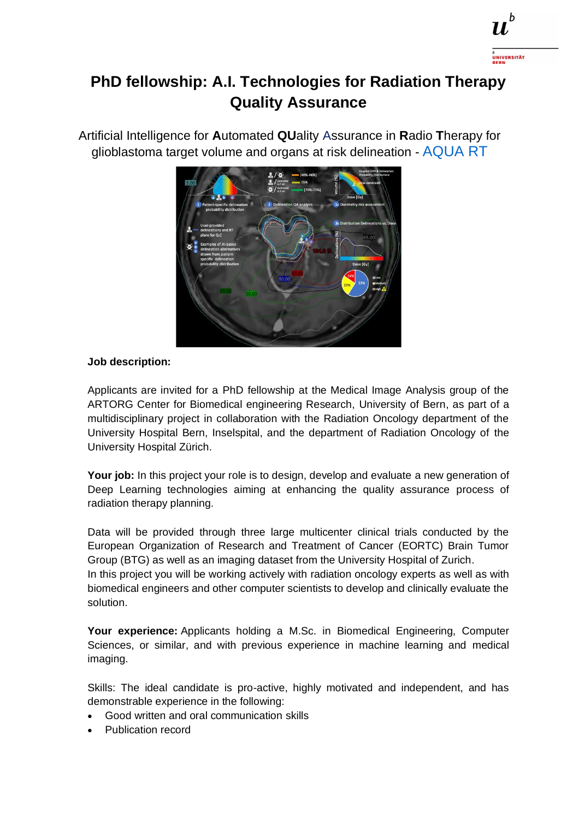

## **PhD fellowship: A.I. Technologies for Radiation Therapy Quality Assurance**

Artificial Intelligence for **A**utomated **QU**ality Assurance in **R**adio **T**herapy for glioblastoma target volume and organs at risk delineation - AQUA RT



## **Job description:**

Applicants are invited for a PhD fellowship at the Medical Image Analysis group of the ARTORG Center for Biomedical engineering Research, University of Bern, as part of a multidisciplinary project in collaboration with the Radiation Oncology department of the University Hospital Bern, Inselspital, and the department of Radiation Oncology of the University Hospital Zürich.

**Your job:** In this project your role is to design, develop and evaluate a new generation of Deep Learning technologies aiming at enhancing the quality assurance process of radiation therapy planning.

Data will be provided through three large multicenter clinical trials conducted by the European Organization of Research and Treatment of Cancer (EORTC) Brain Tumor Group (BTG) as well as an imaging dataset from the University Hospital of Zurich. In this project you will be working actively with radiation oncology experts as well as with biomedical engineers and other computer scientists to develop and clinically evaluate the solution.

**Your experience:** Applicants holding a M.Sc. in Biomedical Engineering, Computer Sciences, or similar, and with previous experience in machine learning and medical imaging.

Skills: The ideal candidate is pro-active, highly motivated and independent, and has demonstrable experience in the following:

- Good written and oral communication skills
- Publication record